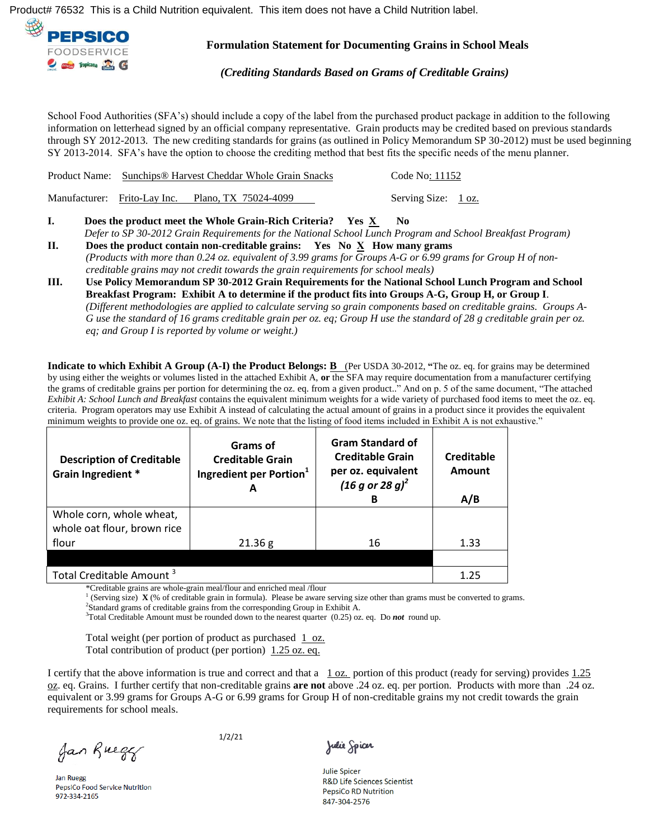Ú¦[å č& vÀ ΠÍH GÁ V @ãÁã ÁæÁÔ @ãå ÁÞ čá āp{}Á ~ ~ ã¿æp^}dĚÁ V @ãÁãe^{Áá[^•Á, [cÁ@aeç^ÁæÁÔ @ãåÁÞ čdáāp}Áæà^|È



**Formulation Statement for Documenting Grains in School Meals** 

*(Crediting Standards Based on Grams of Creditable Grains)* 

School Food Authorities (SFA's) should include a copy of the label from the purchased product package in addition to the following information on letterhead signed by an official company representative. Grain products may be credited based on previous standards through SY 2012-2013. The new crediting standards for grains (as outlined in Policy Memorandum SP 30-2012) must be used beginning SY 2013-2014. SFA's have the option to choose the crediting method that best fits the specific needs of the menu planner.

|  | Does the product meet the Whole Grain-Rich Criteria? Yes $\underline{X}$      | - No                |  |
|--|-------------------------------------------------------------------------------|---------------------|--|
|  | Manufacturer: Frito-Lay Inc. Plano, TX 75024-4099                             | Serving Size: 1 oz. |  |
|  | <b>Product Name:</b> Sunchips <sup>®</sup> Harvest Cheddar Whole Grain Snacks | Code No: 11152      |  |

 *Defer to SP 30-2012 Grain Requirements for the National School Lunch Program and School Breakfast Program)*  **II. Does the product contain non-creditable grains:** Yes No  $\overline{X}$  How many grams

- *(Products with more than 0.24 oz. equivalent of 3.99 grams for Groups A-G or 6.99 grams for Group H of noncreditable grains may not credit towards the grain requirements for school meals)*
- **III. Use Policy Memorandum SP 30-2012 Grain Requirements for the National School Lunch Program and School Breakfast Program: Exhibit A to determine if the product fits into Groups A-G, Group H, or Group I**. *(Different methodologies are applied to calculate serving so grain components based on creditable grains. Groups A-G use the standard of 16 grams creditable grain per oz. eq; Group H use the standard of 28 g creditable grain per oz. eq; and Group I is reported by volume or weight.)*

**Indicate to which Exhibit A Group (A-I) the Product Belongs: B** (Per USDA 30-2012, **"**The oz. eq. for grains may be determined by using either the weights or volumes listed in the attached Exhibit A, **or** the SFA may require documentation from a manufacturer certifying the grams of creditable grains per portion for determining the oz. eq. from a given product.." And on p. 5 of the same document, "The attached *Exhibit A: School Lunch and Breakfast* contains the equivalent minimum weights for a wide variety of purchased food items to meet the oz. eq. criteria. Program operators may use Exhibit A instead of calculating the actual amount of grains in a product since it provides the equivalent minimum weights to provide one oz. eq. of grains. We note that the listing of food items included in Exhibit A is not exhaustive."

| <b>Description of Creditable</b><br>Grain Ingredient * | <b>Grams of</b><br><b>Creditable Grain</b><br>Ingredient per Portion <sup>1</sup> | <b>Gram Standard of</b><br><b>Creditable Grain</b><br>per oz. equivalent<br>$(16 g or 28 g)^2$<br>В | Creditable<br>Amount<br>A/B |
|--------------------------------------------------------|-----------------------------------------------------------------------------------|-----------------------------------------------------------------------------------------------------|-----------------------------|
| Whole corn, whole wheat,                               |                                                                                   |                                                                                                     |                             |
| whole oat flour, brown rice                            |                                                                                   |                                                                                                     |                             |
| flour                                                  | 21.36 g                                                                           | 16                                                                                                  | 1.33                        |
|                                                        |                                                                                   |                                                                                                     |                             |
| Total Creditable Amount <sup>3</sup>                   | 1.25                                                                              |                                                                                                     |                             |

\*Creditable grains are whole-grain meal/flour and enriched meal /flour 1

(Serving size) **X** (% of creditable grain in formula). Please be aware serving size other than grams must be converted to grams.

<sup>2</sup>Standard grams of creditable grains from the corresponding Group in Exhibit A.

<sup>3</sup>Total Creditable Amount must be rounded down to the nearest quarter (0.25) oz. eq. Do *not* round up.

Total weight (per portion of product as purchased  $1$  oz. Total contribution of product (per portion) 1.25 oz. eq.

I certify that the above information is true and correct and that a  $1 \text{ oz}$  portion of this product (ready for serving) provides  $1.25$ oz. eq. Grains. I further certify that non-creditable grains **are not** above .24 oz. eq. per portion. Products with more than .24 oz. equivalent or 3.99 grams for Groups A-G or 6.99 grams for Group H of non-creditable grains my not credit towards the grain requirements for school meals.

Jan Ruegy

**Jan Ruegg** PepsiCo Food Service Nutrition 972-334-2165

1/2/21

Julie Spicer

**Julie Spicer R&D Life Sciences Scientist PepsiCo RD Nutrition** 847-304-2576